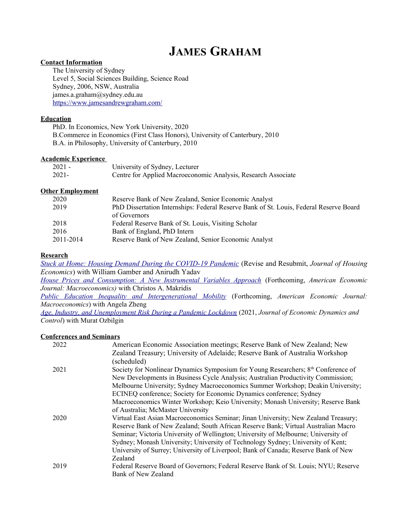# **JAMES GRAHAM**

#### **Contact Information**

The University of Sydney Level 5, Social Sciences Building, Science Road Sydney, 2006, NSW, Australia james.a.graham@sydney.edu.au <https://www.jamesandrewgraham.com/>

# **Education**

PhD. In Economics, New York University, 2020 B.Commerce in Economics (First Class Honors), University of Canterbury, 2010 B.A. in Philosophy, University of Canterbury, 2010

## **Academic Experience**

| 2021 - | University of Sydney, Lecturer                                |
|--------|---------------------------------------------------------------|
| 2021-  | Centre for Applied Macroeconomic Analysis, Research Associate |

## **Other Employment**

| 2020      | Reserve Bank of New Zealand, Senior Economic Analyst                                   |
|-----------|----------------------------------------------------------------------------------------|
| 2019      | PhD Dissertation Internships: Federal Reserve Bank of St. Louis, Federal Reserve Board |
|           | of Governors                                                                           |
| 2018      | Federal Reserve Bank of St. Louis, Visiting Scholar                                    |
| 2016      | Bank of England, PhD Intern                                                            |
| 2011-2014 | Reserve Bank of New Zealand, Senior Economic Analyst                                   |
|           |                                                                                        |

#### **Research**

*[Stuck at Home: Housing Demand During the COVID-19 Pandemic](https://jagman88.github.io/Gamber_Graham_Yadav_2021.pdf)* (Revise and Resubmit, *Journal of Housing Economics*) with William Gamber and Anirudh Yadav

*[House Prices and Consumption: A New Instrumental Variables Approach](https://papers.ssrn.com/sol3/papers.cfm?abstract_id=3285263)* (Forthcoming, *American Economic Journal: Macroeconomics)* with Christos A. Makridis

*[Public Education Inequality and Intergenerational Mobility](https://papers.ssrn.com/sol3/papers.cfm?abstract_id=3092714)* (Forthcoming, *American Economic Journal: Macroeconomics*) with Angela Zheng

*[Age, Industry, and Unemployment Risk During a Pandemic Lockdown](https://www.journals.elsevier.com/journal-of-economic-dynamics-and-control)* (2021, *Journal of Economic Dynamics and Control*) with Murat Ozbilgin

# **Conferences and Seminars**

| 2022 | American Economic Association meetings; Reserve Bank of New Zealand; New                      |
|------|-----------------------------------------------------------------------------------------------|
|      | Zealand Treasury; University of Adelaide; Reserve Bank of Australia Workshop<br>(scheduled)   |
|      |                                                                                               |
| 2021 | Society for Nonlinear Dynamics Symposium for Young Researchers; 8 <sup>th</sup> Conference of |
|      | New Developments in Business Cycle Analysis; Australian Productivity Commission;              |
|      | Melbourne University; Sydney Macroeconomics Summer Workshop; Deakin University;               |
|      | ECINEQ conference; Society for Economic Dynamics conference; Sydney                           |
|      | Macroeconomics Winter Workshop; Keio University; Monash University; Reserve Bank              |
|      | of Australia; McMaster University                                                             |
| 2020 | Virtual East Asian Macroeconomics Seminar; Jinan University; New Zealand Treasury;            |
|      | Reserve Bank of New Zealand; South African Reserve Bank; Virtual Australian Macro             |
|      | Seminar; Victoria University of Wellington; University of Melbourne; University of            |
|      | Sydney; Monash University; University of Technology Sydney; University of Kent;               |
|      | University of Surrey; University of Liverpool; Bank of Canada; Reserve Bank of New            |
|      | Zealand                                                                                       |
| 2019 | Federal Reserve Board of Governors; Federal Reserve Bank of St. Louis; NYU; Reserve           |
|      | Bank of New Zealand                                                                           |